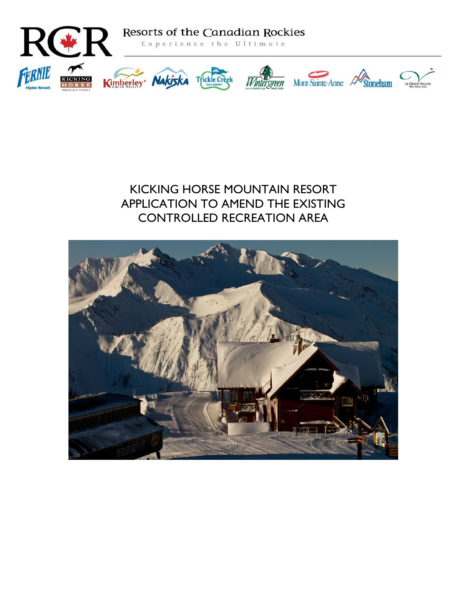

# KICKING HORSE MOUNTAIN RESORT APPLICATION TO AMEND THE EXISTING CONTROLLED RECREATION AREA

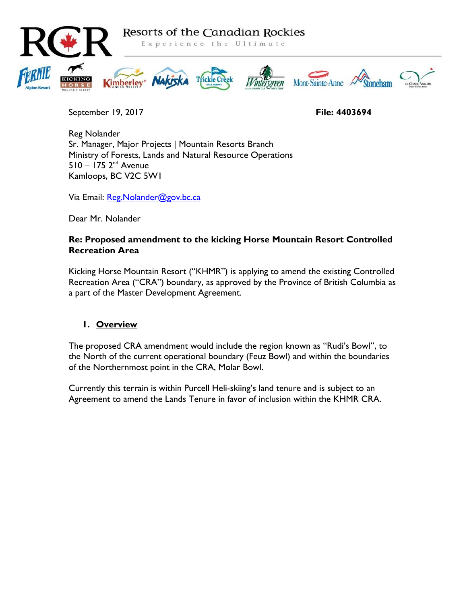

September 19, 2017 **File: 4403694**

Reg Nolander Sr. Manager, Major Projects | Mountain Resorts Branch Ministry of Forests, Lands and Natural Resource Operations  $510 - 175$   $2^{nd}$  Avenue Kamloops, BC V2C 5W1

Via Email: Reg. Nolander@gov.bc.ca

Dear Mr. Nolander

#### **Re: Proposed amendment to the kicking Horse Mountain Resort Controlled Recreation Area**

Kicking Horse Mountain Resort ("KHMR") is applying to amend the existing Controlled Recreation Area ("CRA") boundary, as approved by the Province of British Columbia as a part of the Master Development Agreement.

## **1. Overview**

The proposed CRA amendment would include the region known as "Rudi's Bowl", to the North of the current operational boundary (Feuz Bowl) and within the boundaries of the Northernmost point in the CRA, Molar Bowl.

Currently this terrain is within Purcell Heli-skiing's land tenure and is subject to an Agreement to amend the Lands Tenure in favor of inclusion within the KHMR CRA.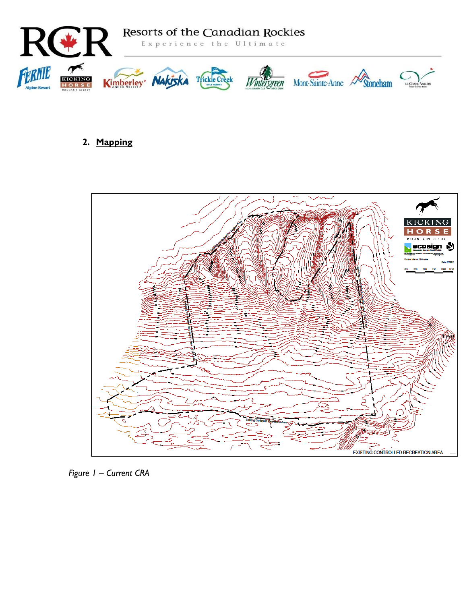

## **2. Mapping**



*Figure 1 – Current CRA*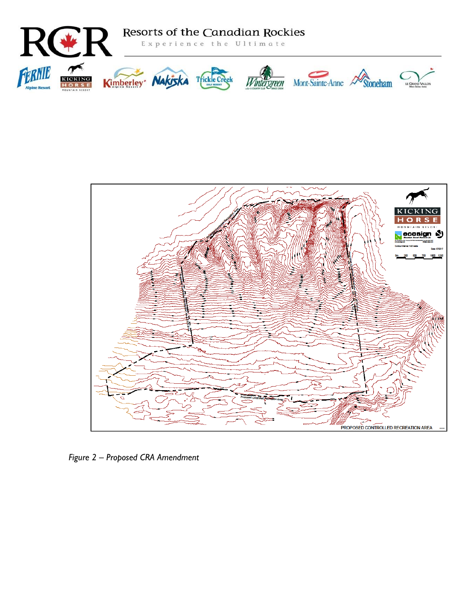



*Figure 2 – Proposed CRA Amendment*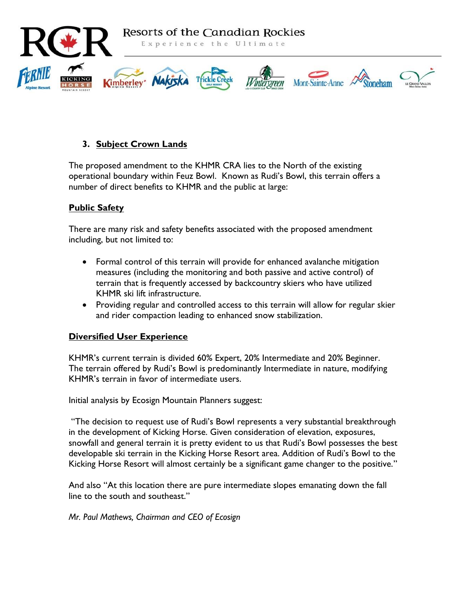

## **3. Subject Crown Lands**

The proposed amendment to the KHMR CRA lies to the North of the existing operational boundary within Feuz Bowl. Known as Rudi's Bowl, this terrain offers a number of direct benefits to KHMR and the public at large:

## **Public Safety**

There are many risk and safety benefits associated with the proposed amendment including, but not limited to:

- Formal control of this terrain will provide for enhanced avalanche mitigation measures (including the monitoring and both passive and active control) of terrain that is frequently accessed by backcountry skiers who have utilized KHMR ski lift infrastructure.
- Providing regular and controlled access to this terrain will allow for regular skier and rider compaction leading to enhanced snow stabilization.

#### **Diversified User Experience**

KHMR's current terrain is divided 60% Expert, 20% Intermediate and 20% Beginner. The terrain offered by Rudi's Bowl is predominantly Intermediate in nature, modifying KHMR's terrain in favor of intermediate users.

Initial analysis by Ecosign Mountain Planners suggest:

"The decision to request use of Rudi's Bowl represents a very substantial breakthrough in the development of Kicking Horse. Given consideration of elevation, exposures, snowfall and general terrain it is pretty evident to us that Rudi's Bowl possesses the best developable ski terrain in the Kicking Horse Resort area. Addition of Rudi's Bowl to the Kicking Horse Resort will almost certainly be a significant game changer to the positive."

And also "At this location there are pure intermediate slopes emanating down the fall line to the south and southeast."

*Mr. Paul Mathews, Chairman and CEO of Ecosign*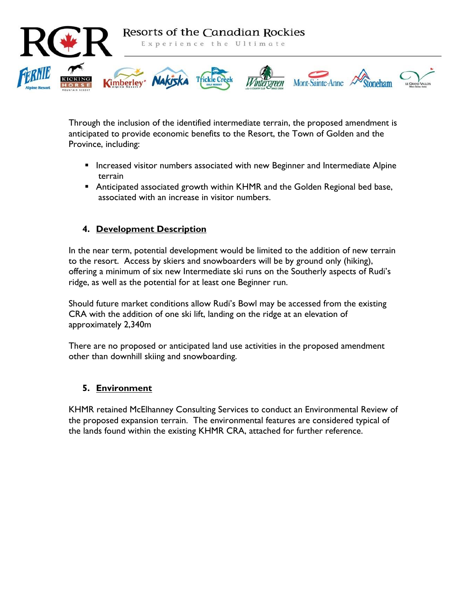

Through the inclusion of the identified intermediate terrain, the proposed amendment is anticipated to provide economic benefits to the Resort, the Town of Golden and the Province, including:

- **Increased visitor numbers associated with new Beginner and Intermediate Alpine** terrain
- Anticipated associated growth within KHMR and the Golden Regional bed base, associated with an increase in visitor numbers.

#### **4. Development Description**

In the near term, potential development would be limited to the addition of new terrain to the resort. Access by skiers and snowboarders will be by ground only (hiking), offering a minimum of six new Intermediate ski runs on the Southerly aspects of Rudi's ridge, as well as the potential for at least one Beginner run.

Should future market conditions allow Rudi's Bowl may be accessed from the existing CRA with the addition of one ski lift, landing on the ridge at an elevation of approximately 2,340m

There are no proposed or anticipated land use activities in the proposed amendment other than downhill skiing and snowboarding.

## **5. Environment**

KHMR retained McElhanney Consulting Services to conduct an Environmental Review of the proposed expansion terrain. The environmental features are considered typical of the lands found within the existing KHMR CRA, attached for further reference.